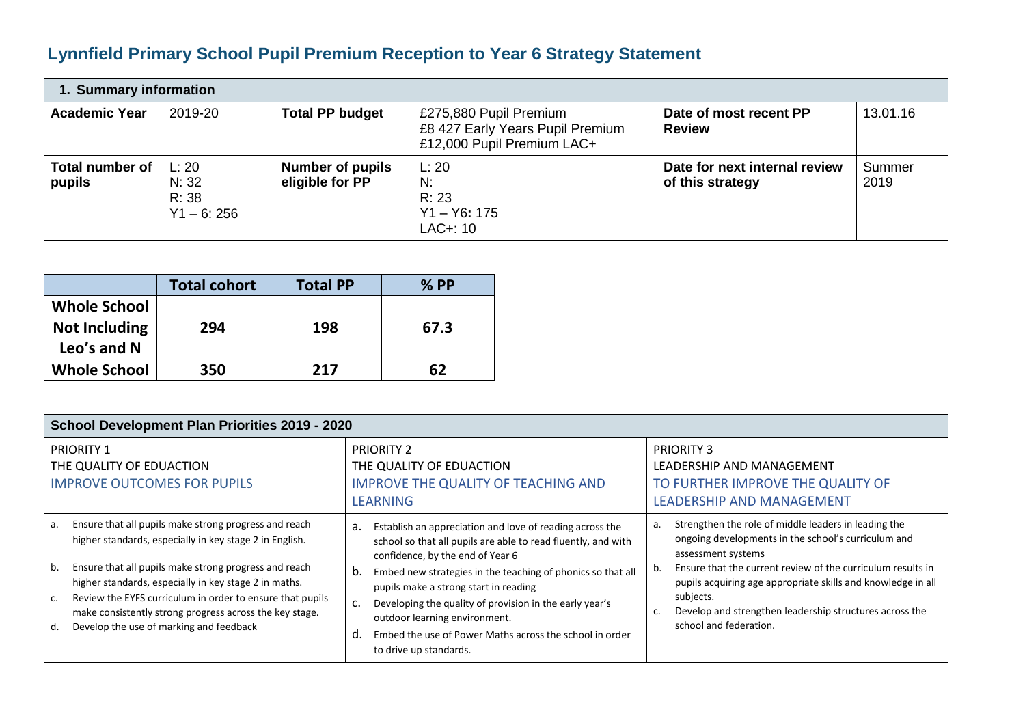## **Lynnfield Primary School Pupil Premium Reception to Year 6 Strategy Statement**

| 1. Summary information           |                                         |                                            |                                                                                          |                                                   |                |  |  |  |
|----------------------------------|-----------------------------------------|--------------------------------------------|------------------------------------------------------------------------------------------|---------------------------------------------------|----------------|--|--|--|
| <b>Academic Year</b>             | 2019-20                                 | <b>Total PP budget</b>                     | £275,880 Pupil Premium<br>£8 427 Early Years Pupil Premium<br>£12,000 Pupil Premium LAC+ | Date of most recent PP<br><b>Review</b>           | 13.01.16       |  |  |  |
| <b>Total number of</b><br>pupils | L: 20<br>N: 32<br>R: 38<br>$Y1 - 6:256$ | <b>Number of pupils</b><br>eligible for PP | L: 20<br>N:<br>R: 23<br>$Y1 - Y6: 175$<br>$LAC+:10$                                      | Date for next internal review<br>of this strategy | Summer<br>2019 |  |  |  |

|                                                            | <b>Total cohort</b> | <b>Total PP</b> | $%$ PP |
|------------------------------------------------------------|---------------------|-----------------|--------|
| <b>Whole School</b><br><b>Not Including</b><br>Leo's and N | 294                 | 198             | 67.3   |
| <b>Whole School</b>                                        | 350                 | 217             | 62     |

| School Development Plan Priorities 2019 - 2020                                                                                                                                                                                                                                                                                                                                                                                |                                                                                                                                                                                                                                                                                                                                                                                                                                                                                |                                                                                                                                                                                                                                                                                                                                                                                |  |  |  |  |  |
|-------------------------------------------------------------------------------------------------------------------------------------------------------------------------------------------------------------------------------------------------------------------------------------------------------------------------------------------------------------------------------------------------------------------------------|--------------------------------------------------------------------------------------------------------------------------------------------------------------------------------------------------------------------------------------------------------------------------------------------------------------------------------------------------------------------------------------------------------------------------------------------------------------------------------|--------------------------------------------------------------------------------------------------------------------------------------------------------------------------------------------------------------------------------------------------------------------------------------------------------------------------------------------------------------------------------|--|--|--|--|--|
| <b>PRIORITY 1</b><br>THE QUALITY OF EDUACTION<br><b>IMPROVE OUTCOMES FOR PUPILS</b>                                                                                                                                                                                                                                                                                                                                           | <b>PRIORITY 2</b><br>THE QUALITY OF EDUACTION<br><b>IMPROVE THE QUALITY OF TEACHING AND</b><br><b>LEARNING</b>                                                                                                                                                                                                                                                                                                                                                                 | <b>PRIORITY 3</b><br>LEADERSHIP AND MANAGEMENT<br>TO FURTHER IMPROVE THE QUALITY OF<br>LEADERSHIP AND MANAGEMENT                                                                                                                                                                                                                                                               |  |  |  |  |  |
| Ensure that all pupils make strong progress and reach<br>a.<br>higher standards, especially in key stage 2 in English.<br>Ensure that all pupils make strong progress and reach<br>b.<br>higher standards, especially in key stage 2 in maths.<br>Review the EYFS curriculum in order to ensure that pupils<br>C.<br>make consistently strong progress across the key stage.<br>Develop the use of marking and feedback<br>d. | Establish an appreciation and love of reading across the<br>а.<br>school so that all pupils are able to read fluently, and with<br>confidence, by the end of Year 6<br>Embed new strategies in the teaching of phonics so that all<br>b.<br>pupils make a strong start in reading<br>Developing the quality of provision in the early year's<br>c.<br>outdoor learning environment.<br>Embed the use of Power Maths across the school in order<br>d.<br>to drive up standards. | Strengthen the role of middle leaders in leading the<br>а.<br>ongoing developments in the school's curriculum and<br>assessment systems<br>Ensure that the current review of the curriculum results in<br>pupils acquiring age appropriate skills and knowledge in all<br>subjects.<br>Develop and strengthen leadership structures across the<br>c.<br>school and federation. |  |  |  |  |  |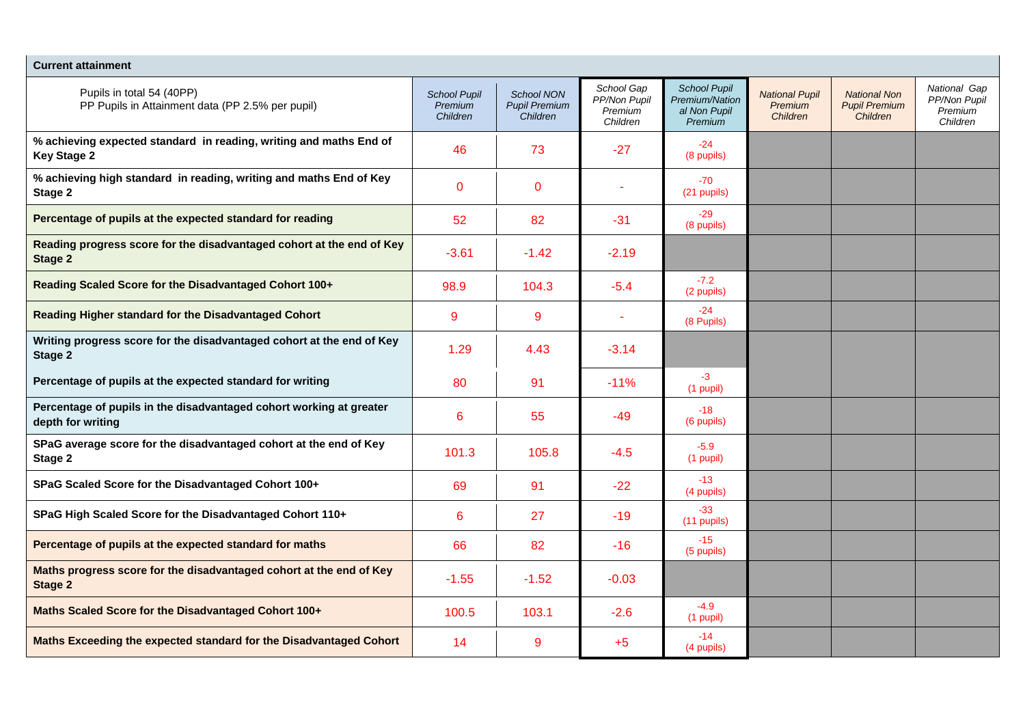| <b>Current attainment</b>                                                                |                                            |                                                       |                                                   |                                                                         |                                              |                                                         |                                                     |
|------------------------------------------------------------------------------------------|--------------------------------------------|-------------------------------------------------------|---------------------------------------------------|-------------------------------------------------------------------------|----------------------------------------------|---------------------------------------------------------|-----------------------------------------------------|
| Pupils in total 54 (40PP)<br>PP Pupils in Attainment data (PP 2.5% per pupil)            | <b>School Pupil</b><br>Premium<br>Children | <b>School NON</b><br><b>Pupil Premium</b><br>Children | School Gap<br>PP/Non Pupil<br>Premium<br>Children | <b>School Pupil</b><br><b>Premium/Nation</b><br>al Non Pupil<br>Premium | <b>National Pupil</b><br>Premium<br>Children | <b>National Non</b><br><b>Pupil Premium</b><br>Children | National Gap<br>PP/Non Pupil<br>Premium<br>Children |
| % achieving expected standard in reading, writing and maths End of<br><b>Key Stage 2</b> | 46                                         | 73                                                    | $-27$                                             | $-24$<br>(8 pupils)                                                     |                                              |                                                         |                                                     |
| % achieving high standard in reading, writing and maths End of Key<br>Stage 2            | $\mathbf 0$                                | $\mathbf 0$                                           |                                                   | $-70$<br>(21 pupils)                                                    |                                              |                                                         |                                                     |
| Percentage of pupils at the expected standard for reading                                | 52                                         | 82                                                    | -31                                               | $-29$<br>(8 pupils)                                                     |                                              |                                                         |                                                     |
| Reading progress score for the disadvantaged cohort at the end of Key<br>Stage 2         | $-3.61$                                    | $-1.42$                                               | $-2.19$                                           |                                                                         |                                              |                                                         |                                                     |
| Reading Scaled Score for the Disadvantaged Cohort 100+                                   | 98.9                                       | 104.3                                                 | -5.4                                              | $-7.2$<br>(2 pupils)                                                    |                                              |                                                         |                                                     |
| Reading Higher standard for the Disadvantaged Cohort                                     | 9                                          | 9                                                     |                                                   | $-24$<br>(8 Pupils)                                                     |                                              |                                                         |                                                     |
| Writing progress score for the disadvantaged cohort at the end of Key<br>Stage 2         | 1.29                                       | 4.43                                                  | $-3.14$                                           |                                                                         |                                              |                                                         |                                                     |
| Percentage of pupils at the expected standard for writing                                | 80                                         | 91                                                    | $-11%$                                            | $-3$<br>(1 pupil)                                                       |                                              |                                                         |                                                     |
| Percentage of pupils in the disadvantaged cohort working at greater<br>depth for writing | 6                                          | 55                                                    | $-49$                                             | $-18$<br>(6 pupils)                                                     |                                              |                                                         |                                                     |
| SPaG average score for the disadvantaged cohort at the end of Key<br>Stage 2             | 101.3                                      | 105.8                                                 | $-4.5$                                            | $-5.9$<br>$(1$ pupil)                                                   |                                              |                                                         |                                                     |
| SPaG Scaled Score for the Disadvantaged Cohort 100+                                      | 69                                         | 91                                                    | $-22$                                             | $-13$<br>(4 pupils)                                                     |                                              |                                                         |                                                     |
| SPaG High Scaled Score for the Disadvantaged Cohort 110+                                 | 6                                          | 27                                                    | $-19$                                             | $-33$<br>$(11$ pupils)                                                  |                                              |                                                         |                                                     |
| Percentage of pupils at the expected standard for maths                                  | 66                                         | 82                                                    | $-16$                                             | $-15$<br>(5 pupils)                                                     |                                              |                                                         |                                                     |
| Maths progress score for the disadvantaged cohort at the end of Key<br><b>Stage 2</b>    | $-1.55$                                    | $-1.52$                                               | $-0.03$                                           |                                                                         |                                              |                                                         |                                                     |
| Maths Scaled Score for the Disadvantaged Cohort 100+                                     | 100.5                                      | 103.1                                                 | $-2.6$                                            | $-4.9$<br>$(1$ pupil)                                                   |                                              |                                                         |                                                     |
| Maths Exceeding the expected standard for the Disadvantaged Cohort                       | 14                                         | 9                                                     | $+5$                                              | $-14$<br>(4 pupils)                                                     |                                              |                                                         |                                                     |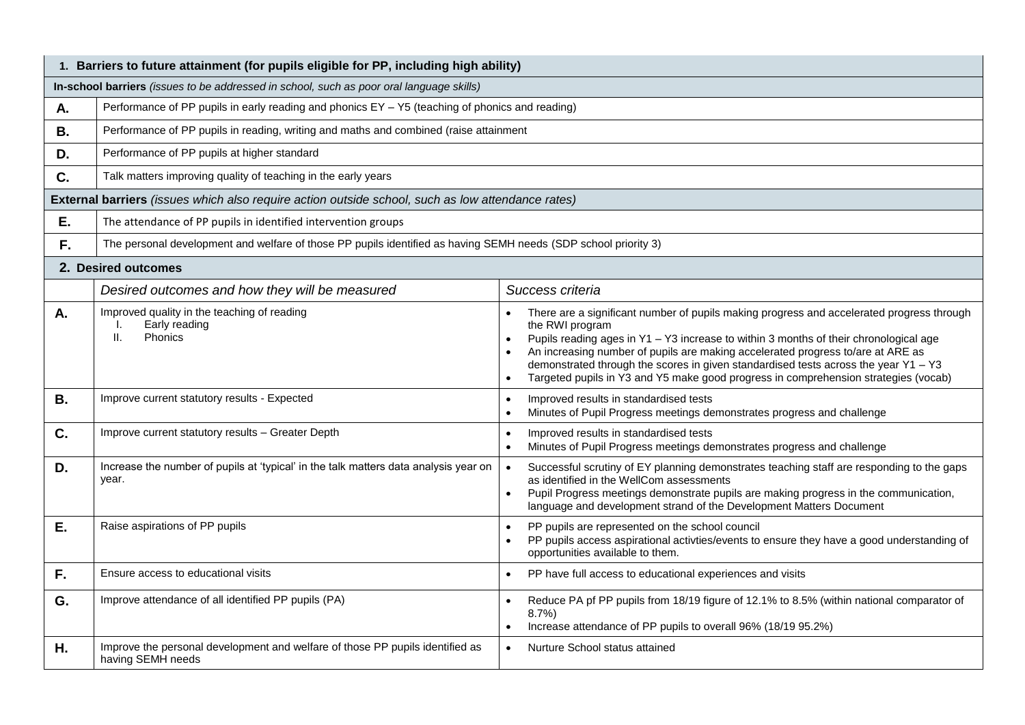|           | 1. Barriers to future attainment (for pupils eligible for PP, including high ability)                           |                                                                                                                                                                                                                                                                                                                                                                                                                                                                                       |  |  |  |  |  |
|-----------|-----------------------------------------------------------------------------------------------------------------|---------------------------------------------------------------------------------------------------------------------------------------------------------------------------------------------------------------------------------------------------------------------------------------------------------------------------------------------------------------------------------------------------------------------------------------------------------------------------------------|--|--|--|--|--|
|           | In-school barriers (issues to be addressed in school, such as poor oral language skills)                        |                                                                                                                                                                                                                                                                                                                                                                                                                                                                                       |  |  |  |  |  |
| А.        | Performance of PP pupils in early reading and phonics EY - Y5 (teaching of phonics and reading)                 |                                                                                                                                                                                                                                                                                                                                                                                                                                                                                       |  |  |  |  |  |
| <b>B.</b> | Performance of PP pupils in reading, writing and maths and combined (raise attainment                           |                                                                                                                                                                                                                                                                                                                                                                                                                                                                                       |  |  |  |  |  |
| D.        | Performance of PP pupils at higher standard                                                                     |                                                                                                                                                                                                                                                                                                                                                                                                                                                                                       |  |  |  |  |  |
| C.        | Talk matters improving quality of teaching in the early years                                                   |                                                                                                                                                                                                                                                                                                                                                                                                                                                                                       |  |  |  |  |  |
|           | External barriers (issues which also require action outside school, such as low attendance rates)               |                                                                                                                                                                                                                                                                                                                                                                                                                                                                                       |  |  |  |  |  |
| Ε.        | The attendance of PP pupils in identified intervention groups                                                   |                                                                                                                                                                                                                                                                                                                                                                                                                                                                                       |  |  |  |  |  |
| F.        | The personal development and welfare of those PP pupils identified as having SEMH needs (SDP school priority 3) |                                                                                                                                                                                                                                                                                                                                                                                                                                                                                       |  |  |  |  |  |
|           | 2. Desired outcomes                                                                                             |                                                                                                                                                                                                                                                                                                                                                                                                                                                                                       |  |  |  |  |  |
|           | Desired outcomes and how they will be measured                                                                  | Success criteria                                                                                                                                                                                                                                                                                                                                                                                                                                                                      |  |  |  |  |  |
| A.        | Improved quality in the teaching of reading<br>Early reading<br>II.<br>Phonics                                  | There are a significant number of pupils making progress and accelerated progress through<br>the RWI program<br>Pupils reading ages in Y1 - Y3 increase to within 3 months of their chronological age<br>$\bullet$<br>An increasing number of pupils are making accelerated progress to/are at ARE as<br>demonstrated through the scores in given standardised tests across the year $Y1 - Y3$<br>Targeted pupils in Y3 and Y5 make good progress in comprehension strategies (vocab) |  |  |  |  |  |
| <b>B.</b> | Improve current statutory results - Expected                                                                    | Improved results in standardised tests<br>Minutes of Pupil Progress meetings demonstrates progress and challenge                                                                                                                                                                                                                                                                                                                                                                      |  |  |  |  |  |
| C.        | Improve current statutory results - Greater Depth                                                               | Improved results in standardised tests<br>Minutes of Pupil Progress meetings demonstrates progress and challenge                                                                                                                                                                                                                                                                                                                                                                      |  |  |  |  |  |
| D.        | Increase the number of pupils at 'typical' in the talk matters data analysis year on<br>year.                   | Successful scrutiny of EY planning demonstrates teaching staff are responding to the gaps<br>as identified in the WellCom assessments<br>Pupil Progress meetings demonstrate pupils are making progress in the communication,<br>language and development strand of the Development Matters Document                                                                                                                                                                                  |  |  |  |  |  |
| Ε.        | Raise aspirations of PP pupils                                                                                  | PP pupils are represented on the school council<br>PP pupils access aspirational activties/events to ensure they have a good understanding of<br>opportunities available to them.                                                                                                                                                                                                                                                                                                     |  |  |  |  |  |
| F.        | Ensure access to educational visits                                                                             | PP have full access to educational experiences and visits                                                                                                                                                                                                                                                                                                                                                                                                                             |  |  |  |  |  |
| G.        | Improve attendance of all identified PP pupils (PA)                                                             | Reduce PA pf PP pupils from 18/19 figure of 12.1% to 8.5% (within national comparator of<br>$8.7\%$<br>Increase attendance of PP pupils to overall 96% (18/19 95.2%)                                                                                                                                                                                                                                                                                                                  |  |  |  |  |  |
| Η.        | Improve the personal development and welfare of those PP pupils identified as<br>having SEMH needs              | Nurture School status attained                                                                                                                                                                                                                                                                                                                                                                                                                                                        |  |  |  |  |  |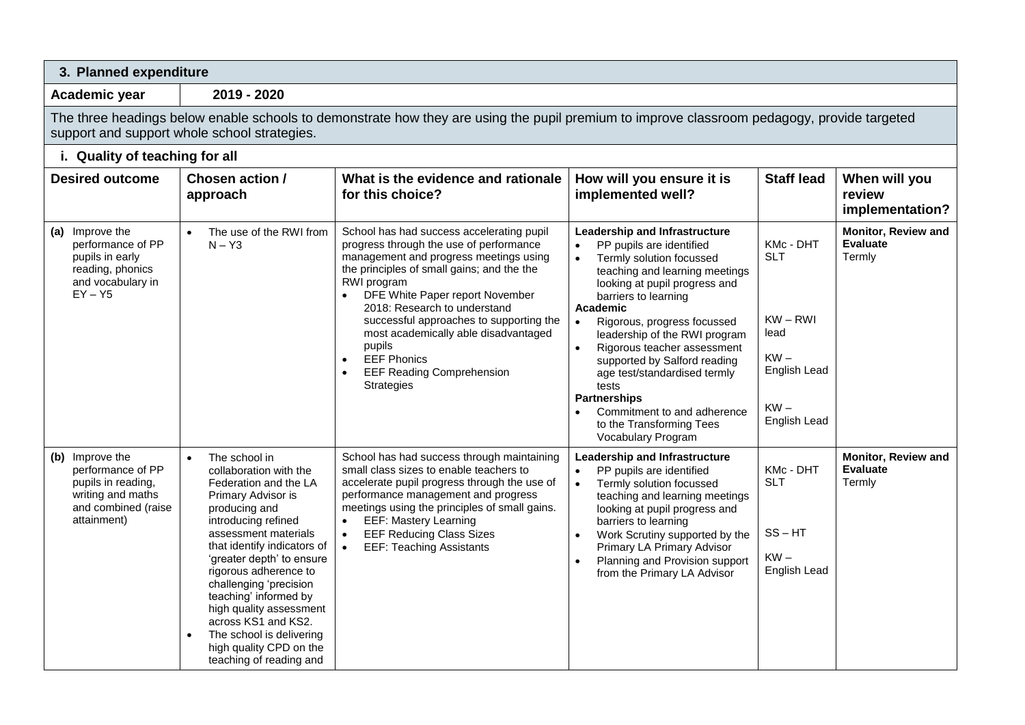| 3. Planned expenditure                                                                                                |                                                                                                                                                                                                                                                                                                                                                                                                                                                 |                                                                                                                                                                                                                                                                                                                                                               |                                                                                                                                                                                                                                                                                                                                |                                                                |                                                  |  |  |  |  |
|-----------------------------------------------------------------------------------------------------------------------|-------------------------------------------------------------------------------------------------------------------------------------------------------------------------------------------------------------------------------------------------------------------------------------------------------------------------------------------------------------------------------------------------------------------------------------------------|---------------------------------------------------------------------------------------------------------------------------------------------------------------------------------------------------------------------------------------------------------------------------------------------------------------------------------------------------------------|--------------------------------------------------------------------------------------------------------------------------------------------------------------------------------------------------------------------------------------------------------------------------------------------------------------------------------|----------------------------------------------------------------|--------------------------------------------------|--|--|--|--|
| Academic year                                                                                                         | 2019 - 2020                                                                                                                                                                                                                                                                                                                                                                                                                                     |                                                                                                                                                                                                                                                                                                                                                               |                                                                                                                                                                                                                                                                                                                                |                                                                |                                                  |  |  |  |  |
|                                                                                                                       | The three headings below enable schools to demonstrate how they are using the pupil premium to improve classroom pedagogy, provide targeted<br>support and support whole school strategies.                                                                                                                                                                                                                                                     |                                                                                                                                                                                                                                                                                                                                                               |                                                                                                                                                                                                                                                                                                                                |                                                                |                                                  |  |  |  |  |
| i. Quality of teaching for all                                                                                        |                                                                                                                                                                                                                                                                                                                                                                                                                                                 |                                                                                                                                                                                                                                                                                                                                                               |                                                                                                                                                                                                                                                                                                                                |                                                                |                                                  |  |  |  |  |
| <b>Desired outcome</b>                                                                                                | Chosen action /<br>approach                                                                                                                                                                                                                                                                                                                                                                                                                     | What is the evidence and rationale<br>for this choice?                                                                                                                                                                                                                                                                                                        | How will you ensure it is<br>implemented well?                                                                                                                                                                                                                                                                                 | <b>Staff lead</b>                                              | When will you<br>review<br>implementation?       |  |  |  |  |
| (a) Improve the<br>performance of PP<br>pupils in early<br>reading, phonics<br>and vocabulary in<br>$EY - Y5$         | The use of the RWI from<br>$N - Y3$                                                                                                                                                                                                                                                                                                                                                                                                             | School has had success accelerating pupil<br>progress through the use of performance<br>management and progress meetings using<br>the principles of small gains; and the the<br>RWI program<br>DFE White Paper report November<br>$\bullet$<br>2018: Research to understand<br>successful approaches to supporting the                                        | Leadership and Infrastructure<br>PP pupils are identified<br>$\bullet$<br>Termly solution focussed<br>$\bullet$<br>teaching and learning meetings<br>looking at pupil progress and<br>barriers to learning<br><b>Academic</b>                                                                                                  | KMc - DHT<br><b>SLT</b><br>$KW - RWI$                          | Monitor, Review and<br><b>Evaluate</b><br>Termly |  |  |  |  |
|                                                                                                                       |                                                                                                                                                                                                                                                                                                                                                                                                                                                 | most academically able disadvantaged<br>pupils<br><b>EEF Phonics</b><br>$\bullet$<br><b>EEF Reading Comprehension</b><br>$\bullet$<br><b>Strategies</b>                                                                                                                                                                                                       | Rigorous, progress focussed<br>$\bullet$<br>leadership of the RWI program<br>Rigorous teacher assessment<br>supported by Salford reading<br>age test/standardised termly<br>tests<br><b>Partnerships</b><br>Commitment to and adherence<br>to the Transforming Tees<br>Vocabulary Program                                      | lead<br>$KW -$<br>English Lead<br>$KW -$<br>English Lead       |                                                  |  |  |  |  |
| (b) Improve the<br>performance of PP<br>pupils in reading,<br>writing and maths<br>and combined (raise<br>attainment) | The school in<br>$\bullet$<br>collaboration with the<br>Federation and the LA<br>Primary Advisor is<br>producing and<br>introducing refined<br>assessment materials<br>that identify indicators of<br>'greater depth' to ensure<br>rigorous adherence to<br>challenging 'precision<br>teaching' informed by<br>high quality assessment<br>across KS1 and KS2.<br>The school is delivering<br>high quality CPD on the<br>teaching of reading and | School has had success through maintaining<br>small class sizes to enable teachers to<br>accelerate pupil progress through the use of<br>performance management and progress<br>meetings using the principles of small gains.<br><b>EEF: Mastery Learning</b><br>$\bullet$<br><b>EEF Reducing Class Sizes</b><br>$\bullet$<br><b>EEF: Teaching Assistants</b> | Leadership and Infrastructure<br>PP pupils are identified<br>$\bullet$<br>Termly solution focussed<br>teaching and learning meetings<br>looking at pupil progress and<br>barriers to learning<br>Work Scrutiny supported by the<br>Primary LA Primary Advisor<br>Planning and Provision support<br>from the Primary LA Advisor | KMc - DHT<br><b>SLT</b><br>$SS - HT$<br>$KW -$<br>English Lead | Monitor, Review and<br><b>Evaluate</b><br>Termly |  |  |  |  |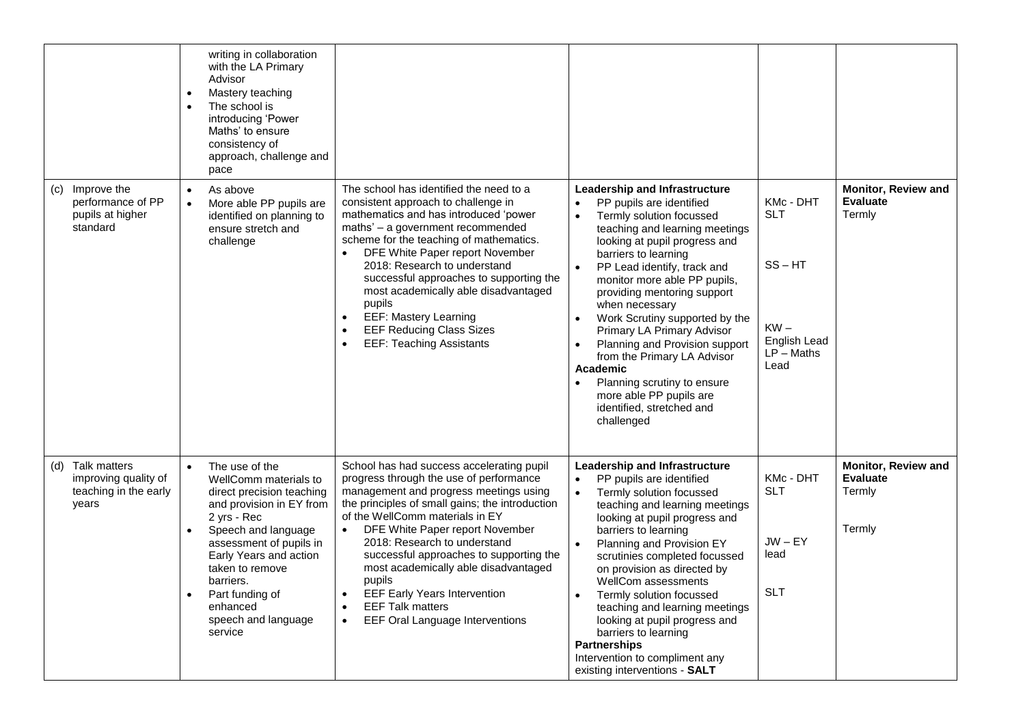|                                                                               | writing in collaboration<br>with the LA Primary<br>Advisor<br>Mastery teaching<br>The school is<br>introducing 'Power<br>Maths' to ensure<br>consistency of<br>approach, challenge and<br>pace                                                                                                                                      |                                                                                                                                                                                                                                                                                                                                                                                                                                                                                                                                               |                                                                                                                                                                                                                                                                                                                                                                                                                                                                                                                                                                                                               |                                                                                                        |                                                            |
|-------------------------------------------------------------------------------|-------------------------------------------------------------------------------------------------------------------------------------------------------------------------------------------------------------------------------------------------------------------------------------------------------------------------------------|-----------------------------------------------------------------------------------------------------------------------------------------------------------------------------------------------------------------------------------------------------------------------------------------------------------------------------------------------------------------------------------------------------------------------------------------------------------------------------------------------------------------------------------------------|---------------------------------------------------------------------------------------------------------------------------------------------------------------------------------------------------------------------------------------------------------------------------------------------------------------------------------------------------------------------------------------------------------------------------------------------------------------------------------------------------------------------------------------------------------------------------------------------------------------|--------------------------------------------------------------------------------------------------------|------------------------------------------------------------|
| Improve the<br>(c)<br>performance of PP<br>pupils at higher<br>standard       | As above<br>$\bullet$<br>More able PP pupils are<br>identified on planning to<br>ensure stretch and<br>challenge                                                                                                                                                                                                                    | The school has identified the need to a<br>consistent approach to challenge in<br>mathematics and has introduced 'power<br>maths' - a government recommended<br>scheme for the teaching of mathematics.<br>DFE White Paper report November<br>$\bullet$<br>2018: Research to understand<br>successful approaches to supporting the<br>most academically able disadvantaged<br>pupils<br><b>EEF: Mastery Learning</b><br>$\bullet$<br>$\bullet$<br><b>EEF Reducing Class Sizes</b><br><b>EEF: Teaching Assistants</b><br>$\bullet$             | <b>Leadership and Infrastructure</b><br>PP pupils are identified<br>$\bullet$<br>Termly solution focussed<br>$\bullet$<br>teaching and learning meetings<br>looking at pupil progress and<br>barriers to learning<br>PP Lead identify, track and<br>$\bullet$<br>monitor more able PP pupils,<br>providing mentoring support<br>when necessary<br>Work Scrutiny supported by the<br>$\bullet$<br>Primary LA Primary Advisor<br>Planning and Provision support<br>from the Primary LA Advisor<br>Academic<br>Planning scrutiny to ensure<br>more able PP pupils are<br>identified, stretched and<br>challenged | KMc - DHT<br><b>SLT</b><br>$SS - HT$<br>$KW -$<br><b>English Lead</b><br>$LP - \mathsf{Maths}$<br>Lead | <b>Monitor, Review and</b><br><b>Evaluate</b><br>Termly    |
| Talk matters<br>(d)<br>improving quality of<br>teaching in the early<br>years | The use of the<br>$\bullet$<br>WellComm materials to<br>direct precision teaching<br>and provision in EY from<br>2 yrs - Rec<br>Speech and language<br>$\bullet$<br>assessment of pupils in<br>Early Years and action<br>taken to remove<br>barriers.<br>Part funding of<br>$\bullet$<br>enhanced<br>speech and language<br>service | School has had success accelerating pupil<br>progress through the use of performance<br>management and progress meetings using<br>the principles of small gains; the introduction<br>of the WellComm materials in EY<br>DFE White Paper report November<br>$\bullet$<br>2018: Research to understand<br>successful approaches to supporting the<br>most academically able disadvantaged<br>pupils<br><b>EEF Early Years Intervention</b><br>$\bullet$<br><b>EEF Talk matters</b><br>$\bullet$<br>EEF Oral Language Interventions<br>$\bullet$ | Leadership and Infrastructure<br>PP pupils are identified<br>$\bullet$<br>Termly solution focussed<br>$\bullet$<br>teaching and learning meetings<br>looking at pupil progress and<br>barriers to learning<br>Planning and Provision EY<br>$\bullet$<br>scrutinies completed focussed<br>on provision as directed by<br>WellCom assessments<br>Termly solution focussed<br>$\bullet$<br>teaching and learning meetings<br>looking at pupil progress and<br>barriers to learning<br><b>Partnerships</b><br>Intervention to compliment any<br>existing interventions - SALT                                     | KMc - DHT<br><b>SLT</b><br>$JW - EY$<br>lead<br><b>SLT</b>                                             | Monitor, Review and<br><b>Evaluate</b><br>Termly<br>Termly |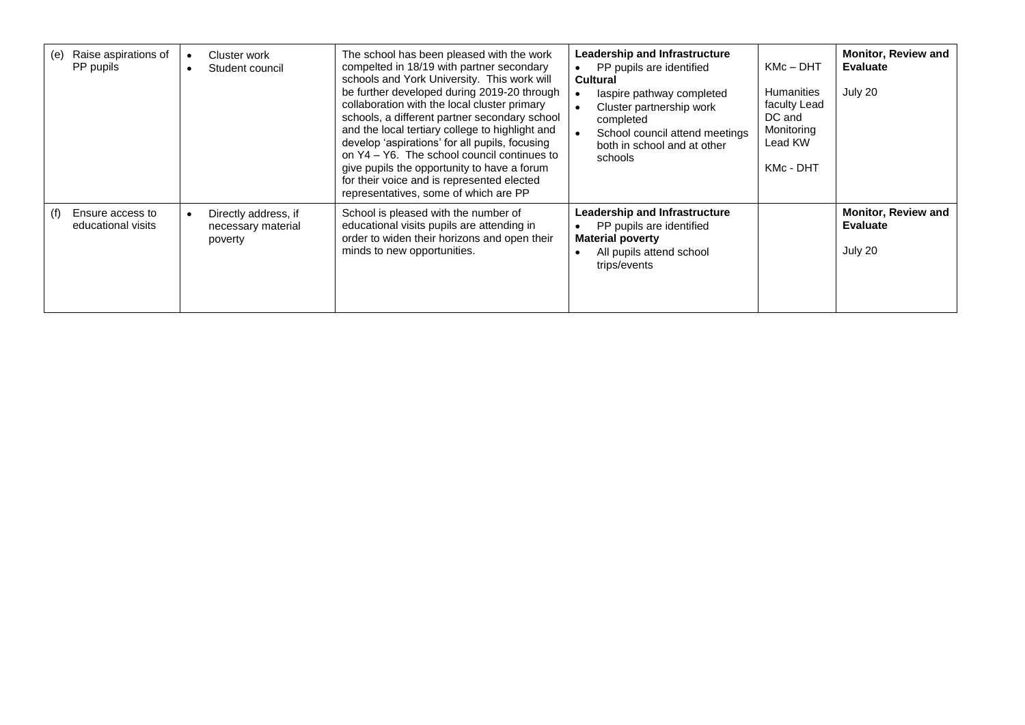| (e) | Raise aspirations of<br>PP pupils      | Cluster work<br>Student council                       | The school has been pleased with the work<br>compelted in 18/19 with partner secondary<br>schools and York University. This work will<br>be further developed during 2019-20 through<br>collaboration with the local cluster primary<br>schools, a different partner secondary school<br>and the local tertiary college to highlight and<br>develop 'aspirations' for all pupils, focusing<br>on Y4 – Y6. The school council continues to<br>give pupils the opportunity to have a forum<br>for their voice and is represented elected<br>representatives, some of which are PP | <b>Leadership and Infrastructure</b><br>PP pupils are identified<br><b>Cultural</b><br>laspire pathway completed<br>Cluster partnership work<br>completed<br>School council attend meetings<br>both in school and at other<br>schools | $KMc - DHT$<br><b>Humanities</b><br>faculty Lead<br>DC and<br>Monitoring<br>Lead KW<br>KMc - DHT | <b>Monitor, Review and</b><br><b>Evaluate</b><br>July 20 |
|-----|----------------------------------------|-------------------------------------------------------|---------------------------------------------------------------------------------------------------------------------------------------------------------------------------------------------------------------------------------------------------------------------------------------------------------------------------------------------------------------------------------------------------------------------------------------------------------------------------------------------------------------------------------------------------------------------------------|---------------------------------------------------------------------------------------------------------------------------------------------------------------------------------------------------------------------------------------|--------------------------------------------------------------------------------------------------|----------------------------------------------------------|
| (f) | Ensure access to<br>educational visits | Directly address, if<br>necessary material<br>poverty | School is pleased with the number of<br>educational visits pupils are attending in<br>order to widen their horizons and open their<br>minds to new opportunities.                                                                                                                                                                                                                                                                                                                                                                                                               | Leadership and Infrastructure<br>PP pupils are identified<br><b>Material poverty</b><br>All pupils attend school<br>trips/events                                                                                                      |                                                                                                  | <b>Monitor, Review and</b><br><b>Evaluate</b><br>July 20 |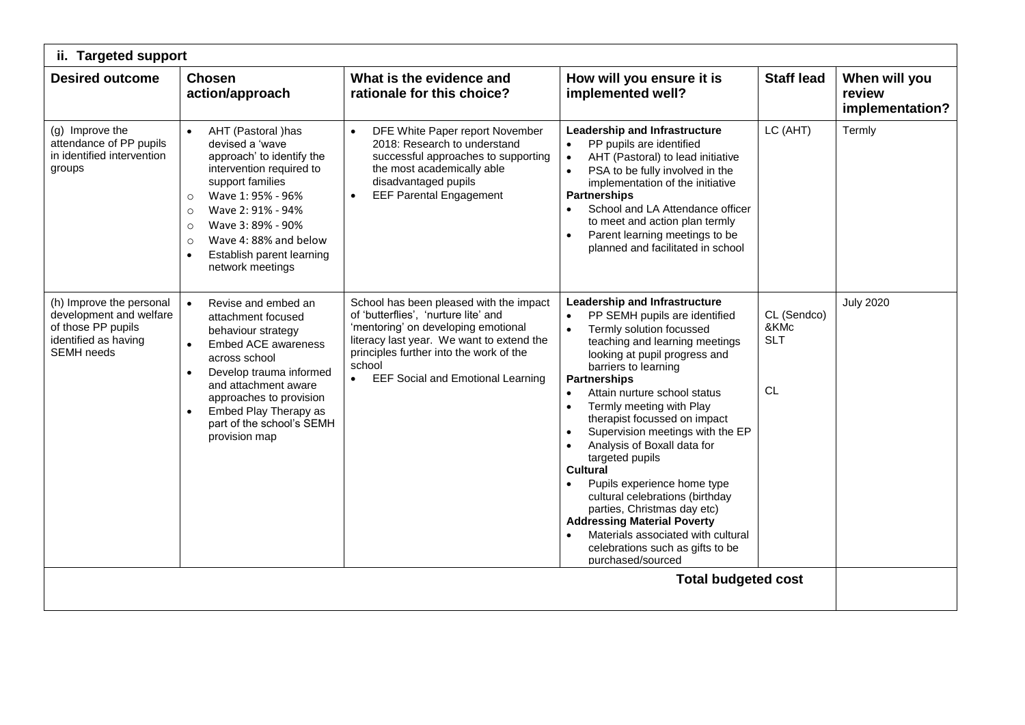| ii. Targeted support                                                                                                   |                                                                                                                                                                                                                                                                                                                     |                                                                                                                                                                                                                                                                                   |                                                                                                                                                                                                                                                                                                                                                                                                                                                                                                                                                                                                                                                                                                |                                                |                                            |  |
|------------------------------------------------------------------------------------------------------------------------|---------------------------------------------------------------------------------------------------------------------------------------------------------------------------------------------------------------------------------------------------------------------------------------------------------------------|-----------------------------------------------------------------------------------------------------------------------------------------------------------------------------------------------------------------------------------------------------------------------------------|------------------------------------------------------------------------------------------------------------------------------------------------------------------------------------------------------------------------------------------------------------------------------------------------------------------------------------------------------------------------------------------------------------------------------------------------------------------------------------------------------------------------------------------------------------------------------------------------------------------------------------------------------------------------------------------------|------------------------------------------------|--------------------------------------------|--|
| <b>Desired outcome</b>                                                                                                 | <b>Chosen</b><br>action/approach                                                                                                                                                                                                                                                                                    | What is the evidence and<br>rationale for this choice?                                                                                                                                                                                                                            | How will you ensure it is<br>implemented well?                                                                                                                                                                                                                                                                                                                                                                                                                                                                                                                                                                                                                                                 | <b>Staff lead</b>                              | When will you<br>review<br>implementation? |  |
| (g) Improve the<br>attendance of PP pupils<br>in identified intervention<br>groups                                     | AHT (Pastoral )has<br>devised a 'wave<br>approach' to identify the<br>intervention required to<br>support families<br>Wave 1: 95% - 96%<br>$\circ$<br>Wave 2: 91% - 94%<br>$\circ$<br>Wave 3: 89% - 90%<br>$\circ$<br>Wave 4:88% and below<br>$\circ$<br>Establish parent learning<br>$\bullet$<br>network meetings | DFE White Paper report November<br>$\bullet$<br>2018: Research to understand<br>successful approaches to supporting<br>the most academically able<br>disadvantaged pupils<br><b>EEF Parental Engagement</b><br>$\bullet$                                                          | Leadership and Infrastructure<br>PP pupils are identified<br>AHT (Pastoral) to lead initiative<br>PSA to be fully involved in the<br>implementation of the initiative<br><b>Partnerships</b><br>School and LA Attendance officer<br>to meet and action plan termly<br>Parent learning meetings to be<br>planned and facilitated in school                                                                                                                                                                                                                                                                                                                                                      | LC (AHT)                                       | Termly                                     |  |
| (h) Improve the personal<br>development and welfare<br>of those PP pupils<br>identified as having<br><b>SEMH</b> needs | Revise and embed an<br>attachment focused<br>behaviour strategy<br><b>Embed ACE awareness</b><br>across school<br>Develop trauma informed<br>$\bullet$<br>and attachment aware<br>approaches to provision<br>Embed Play Therapy as<br>part of the school's SEMH<br>provision map                                    | School has been pleased with the impact<br>of 'butterflies', 'nurture lite' and<br>'mentoring' on developing emotional<br>literacy last year. We want to extend the<br>principles further into the work of the<br>school<br><b>EEF Social and Emotional Learning</b><br>$\bullet$ | Leadership and Infrastructure<br>PP SEMH pupils are identified<br>$\bullet$<br>Termly solution focussed<br>$\bullet$<br>teaching and learning meetings<br>looking at pupil progress and<br>barriers to learning<br><b>Partnerships</b><br>Attain nurture school status<br>Termly meeting with Play<br>$\bullet$<br>therapist focussed on impact<br>Supervision meetings with the EP<br>Analysis of Boxall data for<br>targeted pupils<br><b>Cultural</b><br>Pupils experience home type<br>cultural celebrations (birthday<br>parties, Christmas day etc)<br><b>Addressing Material Poverty</b><br>Materials associated with cultural<br>celebrations such as gifts to be<br>purchased/sourced | CL (Sendco)<br>&KMc<br><b>SLT</b><br><b>CL</b> | <b>July 2020</b>                           |  |
|                                                                                                                        |                                                                                                                                                                                                                                                                                                                     |                                                                                                                                                                                                                                                                                   | <b>Total budgeted cost</b>                                                                                                                                                                                                                                                                                                                                                                                                                                                                                                                                                                                                                                                                     |                                                |                                            |  |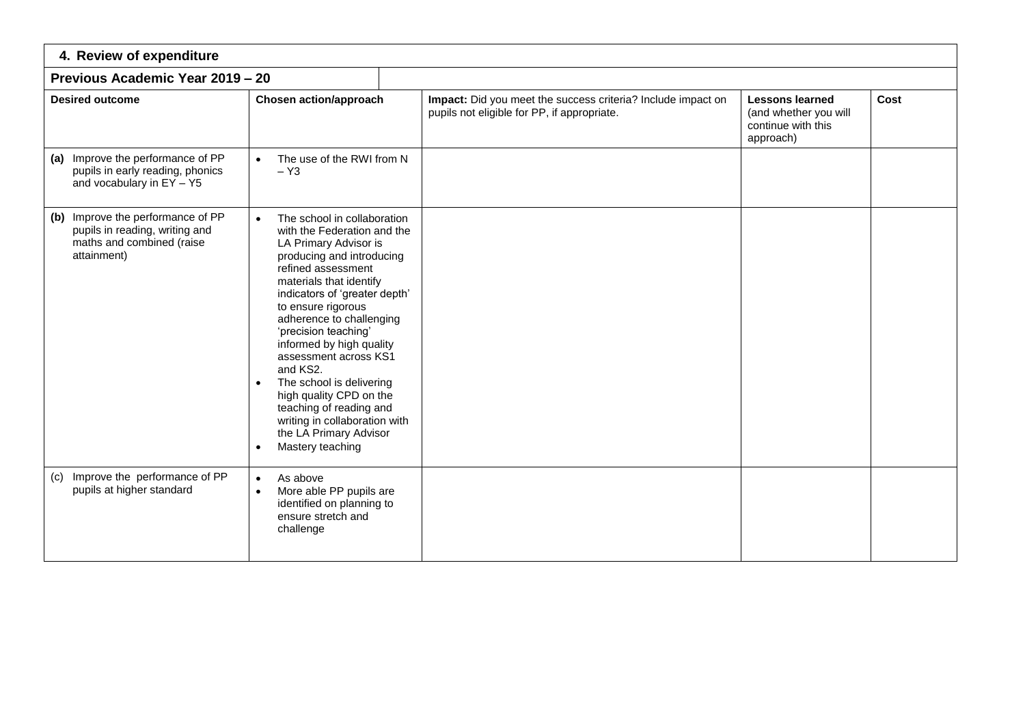| 4. Review of expenditure                                                                                        |                                                                                                                                                                                                                                                                                                                                                                                                                                                                                                                             |                                                                                                             |                                                                                    |      |  |  |  |  |
|-----------------------------------------------------------------------------------------------------------------|-----------------------------------------------------------------------------------------------------------------------------------------------------------------------------------------------------------------------------------------------------------------------------------------------------------------------------------------------------------------------------------------------------------------------------------------------------------------------------------------------------------------------------|-------------------------------------------------------------------------------------------------------------|------------------------------------------------------------------------------------|------|--|--|--|--|
| Previous Academic Year 2019 - 20                                                                                |                                                                                                                                                                                                                                                                                                                                                                                                                                                                                                                             |                                                                                                             |                                                                                    |      |  |  |  |  |
| <b>Desired outcome</b>                                                                                          | <b>Chosen action/approach</b>                                                                                                                                                                                                                                                                                                                                                                                                                                                                                               | Impact: Did you meet the success criteria? Include impact on<br>pupils not eligible for PP, if appropriate. | <b>Lessons learned</b><br>(and whether you will<br>continue with this<br>approach) | Cost |  |  |  |  |
| (a) Improve the performance of PP<br>pupils in early reading, phonics<br>and vocabulary in EY - Y5              | The use of the RWI from N<br>$\bullet$<br>$- Y_3$                                                                                                                                                                                                                                                                                                                                                                                                                                                                           |                                                                                                             |                                                                                    |      |  |  |  |  |
| (b) Improve the performance of PP<br>pupils in reading, writing and<br>maths and combined (raise<br>attainment) | The school in collaboration<br>with the Federation and the<br>LA Primary Advisor is<br>producing and introducing<br>refined assessment<br>materials that identify<br>indicators of 'greater depth'<br>to ensure rigorous<br>adherence to challenging<br>'precision teaching'<br>informed by high quality<br>assessment across KS1<br>and KS2.<br>The school is delivering<br>high quality CPD on the<br>teaching of reading and<br>writing in collaboration with<br>the LA Primary Advisor<br>Mastery teaching<br>$\bullet$ |                                                                                                             |                                                                                    |      |  |  |  |  |
| (c) Improve the performance of PP<br>pupils at higher standard                                                  | As above<br>$\bullet$<br>More able PP pupils are<br>$\bullet$<br>identified on planning to<br>ensure stretch and<br>challenge                                                                                                                                                                                                                                                                                                                                                                                               |                                                                                                             |                                                                                    |      |  |  |  |  |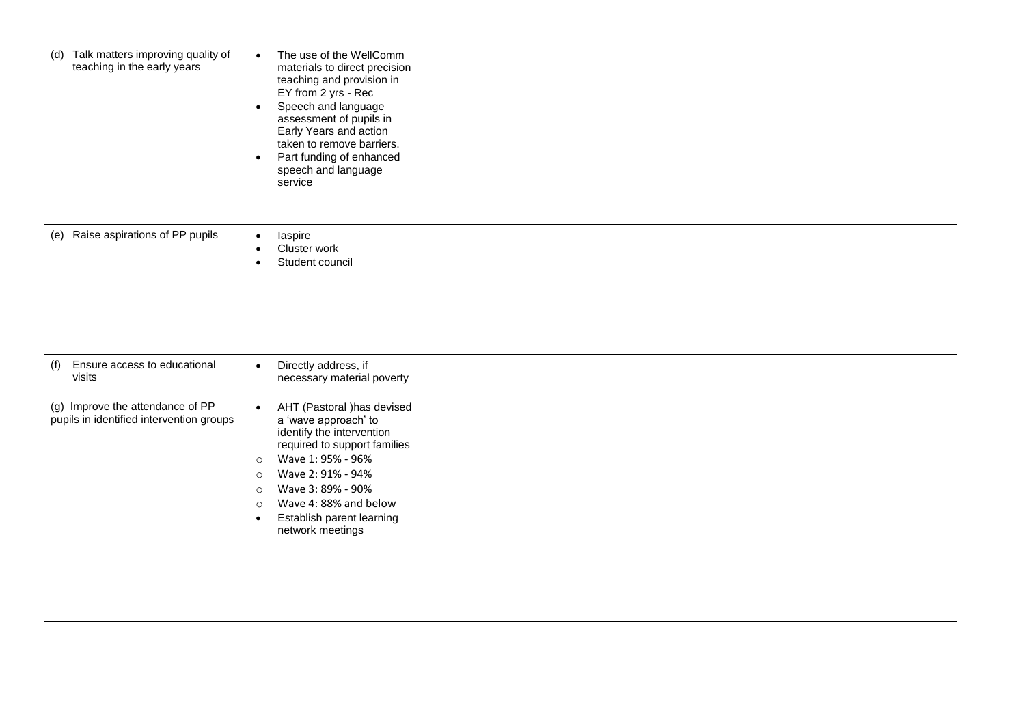| (d) Talk matters improving quality of<br>teaching in the early years         | The use of the WellComm<br>$\bullet$<br>materials to direct precision<br>teaching and provision in<br>EY from 2 yrs - Rec<br>Speech and language<br>$\bullet$<br>assessment of pupils in<br>Early Years and action<br>taken to remove barriers.<br>Part funding of enhanced<br>$\bullet$<br>speech and language<br>service      |  |  |
|------------------------------------------------------------------------------|---------------------------------------------------------------------------------------------------------------------------------------------------------------------------------------------------------------------------------------------------------------------------------------------------------------------------------|--|--|
| (e) Raise aspirations of PP pupils                                           | laspire<br>$\bullet$<br>Cluster work<br>$\bullet$<br>Student council<br>$\bullet$                                                                                                                                                                                                                                               |  |  |
| (f)<br>Ensure access to educational<br>visits                                | Directly address, if<br>$\bullet$<br>necessary material poverty                                                                                                                                                                                                                                                                 |  |  |
| (g) Improve the attendance of PP<br>pupils in identified intervention groups | AHT (Pastoral ) has devised<br>$\bullet$<br>a 'wave approach' to<br>identify the intervention<br>required to support families<br>Wave 1: 95% - 96%<br>$\circ$<br>Wave 2: 91% - 94%<br>$\circ$<br>Wave 3: 89% - 90%<br>$\circ$<br>Wave 4: 88% and below<br>$\circ$<br>Establish parent learning<br>$\bullet$<br>network meetings |  |  |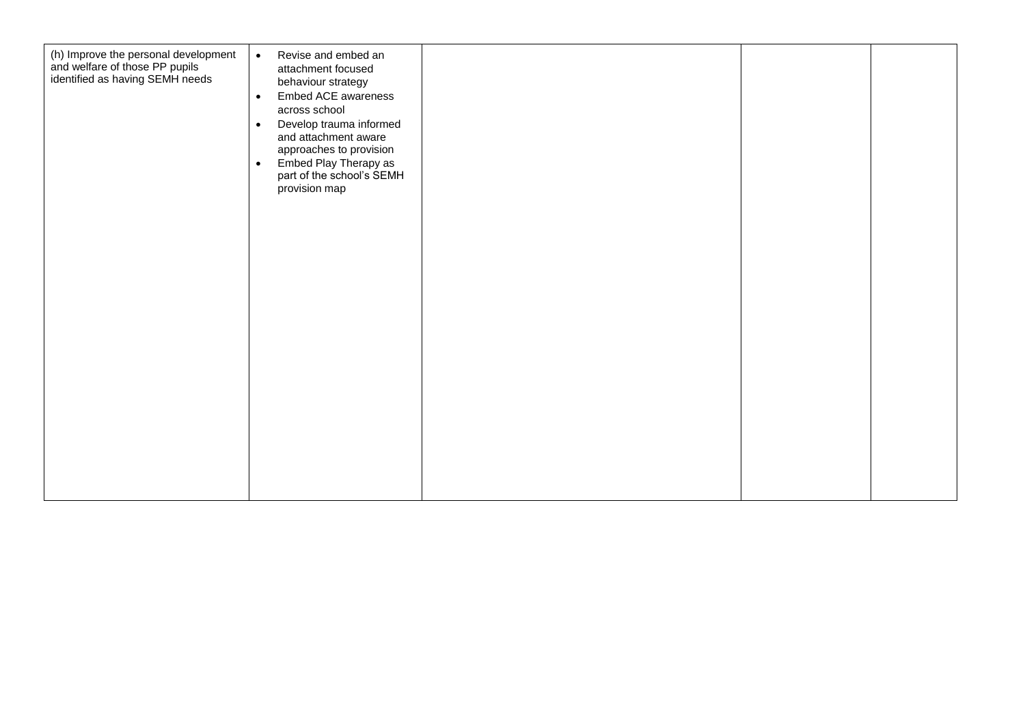| (h) Improve the personal development<br>and welfare of those PP pupils<br>identified as having SEMH needs | Revise and embed an<br>$\bullet$<br>attachment focused<br>behaviour strategy<br>Embed ACE awareness<br>$\bullet$<br>across school<br>Develop trauma informed<br>$\bullet$<br>and attachment aware<br>approaches to provision<br>Embed Play Therapy as<br>$\bullet$<br>part of the school's SEMH<br>provision map |  |  |
|-----------------------------------------------------------------------------------------------------------|------------------------------------------------------------------------------------------------------------------------------------------------------------------------------------------------------------------------------------------------------------------------------------------------------------------|--|--|
|                                                                                                           |                                                                                                                                                                                                                                                                                                                  |  |  |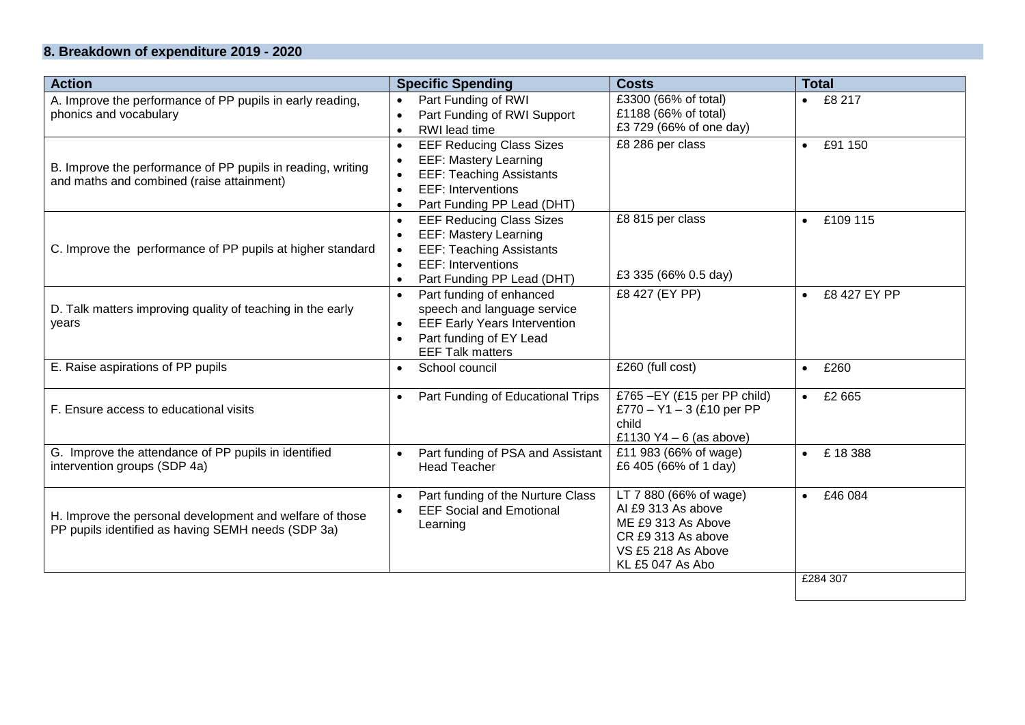## **8. Breakdown of expenditure 2019 - 2020**

| <b>Action</b>                                                                        | <b>Specific Spending</b>                                              | <b>Costs</b>                                                | <b>Total</b>          |
|--------------------------------------------------------------------------------------|-----------------------------------------------------------------------|-------------------------------------------------------------|-----------------------|
| A. Improve the performance of PP pupils in early reading,                            | Part Funding of RWI                                                   | £3300 (66% of total)                                        | • E8217               |
| phonics and vocabulary                                                               | Part Funding of RWI Support                                           | £1188 (66% of total)<br>£3 729 (66% of one day)             |                       |
|                                                                                      | RWI lead time                                                         |                                                             |                       |
|                                                                                      | <b>EEF Reducing Class Sizes</b><br>$\bullet$                          | £8 286 per class                                            | £91 150<br>$\bullet$  |
| B. Improve the performance of PP pupils in reading, writing                          | <b>EEF: Mastery Learning</b><br>$\bullet$                             |                                                             |                       |
| and maths and combined (raise attainment)                                            | <b>EEF: Teaching Assistants</b>                                       |                                                             |                       |
|                                                                                      | <b>EEF: Interventions</b><br>$\bullet$                                |                                                             |                       |
|                                                                                      | Part Funding PP Lead (DHT)                                            | £8 815 per class                                            |                       |
|                                                                                      | <b>EEF Reducing Class Sizes</b><br>$\bullet$                          |                                                             | £109 115<br>$\bullet$ |
|                                                                                      | <b>EEF: Mastery Learning</b>                                          |                                                             |                       |
| C. Improve the performance of PP pupils at higher standard                           | <b>EEF: Teaching Assistants</b><br>EEF: Interventions                 |                                                             |                       |
|                                                                                      | $\bullet$                                                             | £3 335 (66% 0.5 day)                                        |                       |
|                                                                                      | Part Funding PP Lead (DHT)                                            | £8 427 (EY PP)                                              | £8 427 EY PP          |
| D. Talk matters improving quality of teaching in the early                           | Part funding of enhanced<br>$\bullet$<br>speech and language service  |                                                             | $\bullet$             |
|                                                                                      | <b>EEF Early Years Intervention</b><br>$\bullet$                      |                                                             |                       |
| years                                                                                | Part funding of EY Lead<br>$\bullet$                                  |                                                             |                       |
|                                                                                      | <b>EEF Talk matters</b>                                               |                                                             |                       |
| E. Raise aspirations of PP pupils                                                    | School council                                                        | £260 (full cost)                                            | £260<br>$\bullet$     |
|                                                                                      |                                                                       |                                                             |                       |
| F. Ensure access to educational visits                                               | Part Funding of Educational Trips                                     | £765 - EY (£15 per PP child)<br>£770 - $Y1 - 3$ (£10 per PP | $\bullet$ £2665       |
|                                                                                      |                                                                       | child                                                       |                       |
|                                                                                      |                                                                       | £1130 $Y4 - 6$ (as above)                                   |                       |
| G. Improve the attendance of PP pupils in identified<br>intervention groups (SDP 4a) | Part funding of PSA and Assistant<br>$\bullet$<br><b>Head Teacher</b> | £11 983 (66% of wage)<br>£6 405 (66% of 1 day)              | £18388<br>$\bullet$   |
|                                                                                      |                                                                       |                                                             |                       |
|                                                                                      | Part funding of the Nurture Class<br>$\bullet$                        | LT 7 880 (66% of wage)                                      | £46 084<br>$\bullet$  |
|                                                                                      | <b>EEF Social and Emotional</b>                                       | Al £9 313 As above                                          |                       |
| H. Improve the personal development and welfare of those                             | Learning                                                              | ME £9 313 As Above                                          |                       |
| PP pupils identified as having SEMH needs (SDP 3a)                                   |                                                                       | CR £9 313 As above                                          |                       |
|                                                                                      |                                                                       | VS £5 218 As Above                                          |                       |
|                                                                                      |                                                                       | KL £5 047 As Abo                                            |                       |
|                                                                                      |                                                                       |                                                             | £284 307              |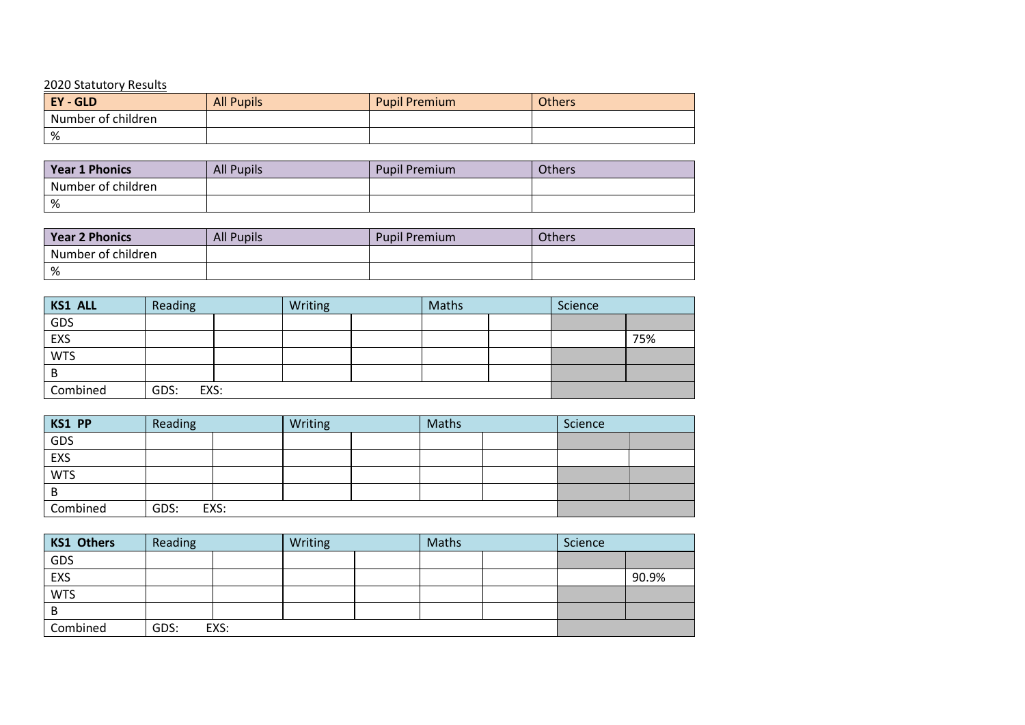## 2020 Statutory Results

| - GLD<br><b>EY</b> | <b>All Pupils</b> | <b>Pupil Premium</b> | <b>Others</b> |
|--------------------|-------------------|----------------------|---------------|
| Number of children |                   |                      |               |
| %                  |                   |                      |               |

| <b>Year 1 Phonics</b> | <b>All Pupils</b> | <b>Pupil Premium</b> | Others |
|-----------------------|-------------------|----------------------|--------|
| Number of children    |                   |                      |        |
| %                     |                   |                      |        |

| <b>Year 2 Phonics</b> | <b>All Pupils</b> | <b>Pupil Premium</b> | <b>Others</b> |
|-----------------------|-------------------|----------------------|---------------|
| Number of children    |                   |                      |               |
| %                     |                   |                      |               |

| <b>KS1 ALL</b> | Reading      |  | Writing |  | Maths |  | Science |     |
|----------------|--------------|--|---------|--|-------|--|---------|-----|
| GDS            |              |  |         |  |       |  |         |     |
| EXS            |              |  |         |  |       |  |         | 75% |
| <b>WTS</b>     |              |  |         |  |       |  |         |     |
| B              |              |  |         |  |       |  |         |     |
| Combined       | GDS:<br>EXS: |  |         |  |       |  |         |     |

| KS1 PP     | Reading |      | Writing |  | Maths |  | Science |  |
|------------|---------|------|---------|--|-------|--|---------|--|
| GDS        |         |      |         |  |       |  |         |  |
| EXS        |         |      |         |  |       |  |         |  |
| <b>WTS</b> |         |      |         |  |       |  |         |  |
| B          |         |      |         |  |       |  |         |  |
| Combined   | GDS:    | EXS: |         |  |       |  |         |  |

| <b>KS1 Others</b> | Reading |      | Writing |  | Maths |  | Science |       |
|-------------------|---------|------|---------|--|-------|--|---------|-------|
| GDS               |         |      |         |  |       |  |         |       |
| EXS               |         |      |         |  |       |  |         | 90.9% |
| <b>WTS</b>        |         |      |         |  |       |  |         |       |
| B                 |         |      |         |  |       |  |         |       |
| Combined          | GDS:    | EXS: |         |  |       |  |         |       |